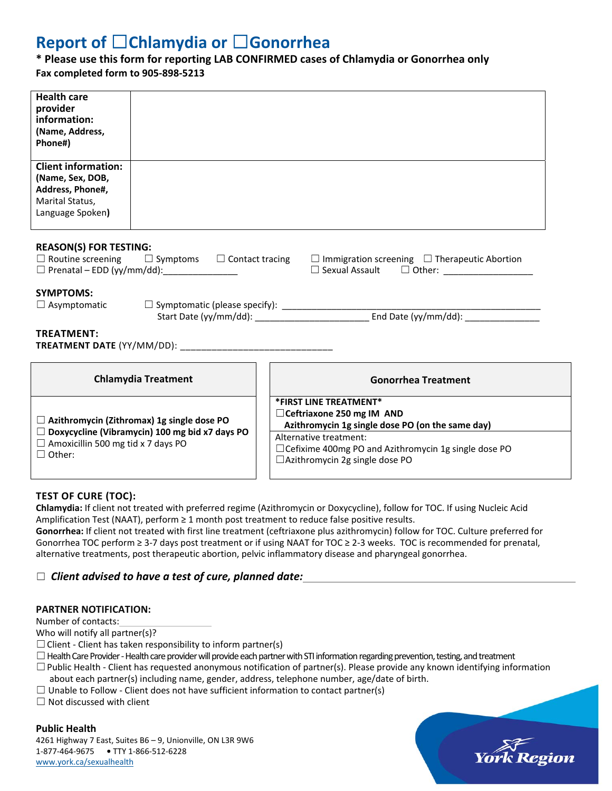# **Report of** ☐**Chlamydia or** ☐**Gonorrhea**

# **\* Please use this form for reporting LAB CONFIRMED cases of Chlamydia or Gonorrhea only**

**Fax completed form to 905‐898‐5213** 

| <b>Health care</b><br>provider<br>information:<br>(Name, Address,<br>Phone#)                                                                                                                      |  |  |                                                                                                                                                                                                                                             |  |  |  |  |
|---------------------------------------------------------------------------------------------------------------------------------------------------------------------------------------------------|--|--|---------------------------------------------------------------------------------------------------------------------------------------------------------------------------------------------------------------------------------------------|--|--|--|--|
| <b>Client information:</b><br>(Name, Sex, DOB,<br>Address, Phone#,<br>Marital Status,<br>Language Spoken)                                                                                         |  |  |                                                                                                                                                                                                                                             |  |  |  |  |
| <b>REASON(S) FOR TESTING:</b><br>$\Box$ Routine screening $\Box$ Symptoms $\Box$ Contact tracing<br>$\Box$ Immigration screening $\Box$ Therapeutic Abortion<br>$\Box$ Prenatal – EDD (yy/mm/dd): |  |  |                                                                                                                                                                                                                                             |  |  |  |  |
| <b>SYMPTOMS:</b>                                                                                                                                                                                  |  |  |                                                                                                                                                                                                                                             |  |  |  |  |
| <b>TREATMENT:</b>                                                                                                                                                                                 |  |  |                                                                                                                                                                                                                                             |  |  |  |  |
| <b>Chlamydia Treatment</b>                                                                                                                                                                        |  |  | <b>Gonorrhea Treatment</b>                                                                                                                                                                                                                  |  |  |  |  |
| $\Box$ Azithromycin (Zithromax) 1g single dose PO<br>$\Box$ Doxycycline (Vibramycin) 100 mg bid x7 days PO<br>$\Box$ Amoxicillin 500 mg tid x 7 days PO<br>$\Box$ Other:                          |  |  | *FIRST LINE TREATMENT*<br>□ Ceftriaxone 250 mg IM AND<br>Azithromycin 1g single dose PO (on the same day)<br>Alternative treatment:<br>$\Box$ Cefixime 400mg PO and Azithromycin 1g single dose PO<br>$\Box$ Azithromycin 2g single dose PO |  |  |  |  |

### **TEST OF CURE (TOC):**

**Chlamydia:** If client not treated with preferred regime (Azithromycin or Doxycycline), follow for TOC. If using Nucleic Acid Amplification Test (NAAT), perform ≥ 1 month post treatment to reduce false positive results.

**Gonorrhea:** If client not treated with first line treatment (ceftriaxone plus azithromycin) follow for TOC. Culture preferred for Gonorrhea TOC perform ≥ 3‐7 days post treatment or if using NAAT for TOC ≥ 2‐3 weeks. TOC is recommended for prenatal, alternative treatments, post therapeutic abortion, pelvic inflammatory disease and pharyngeal gonorrhea.

## ☐ *Client advised to have a test of cure, planned date:*

### **PARTNER NOTIFICATION:**

Number of contacts:

Who will notify all partner(s)?

 $\Box$  Client - Client has taken responsibility to inform partner(s)

 $\Box$  Health Care Provider - Health care provider will provide each partner with STI information regarding prevention, testing, and treatment

- $\square$ Public Health Client has requested anonymous notification of partner(s). Please provide any known identifying information about each partner(s) including name, gender, address, telephone number, age/date of birth.
- $\Box$  Unable to Follow Client does not have sufficient information to contact partner(s)

 $\Box$  Not discussed with client

### **Public Health**

4261 Highway 7 East, Suites B6 – 9, Unionville, ON L3R 9W6 1‐877‐464‐9675 **•** TTY 1‐866‐512‐6228 www.york.ca/sexualhealth